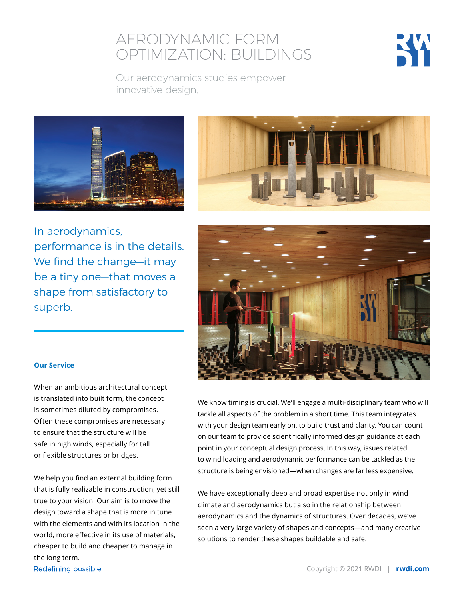## AERODYNAMIC FORM OPTIMIZATION: BUILDINGS



Our aerodynamics studies empower innovative design.





In aerodynamics, performance is in the details. We find the change—it may be a tiny one—that moves a shape from satisfactory to superb.



#### **Our Service**

When an ambitious architectural concept is translated into built form, the concept is sometimes diluted by compromises. Often these compromises are necessary to ensure that the structure will be safe in high winds, especially for tall or flexible structures or bridges.

We help you find an external building form that is fully realizable in construction, yet still true to your vision. Our aim is to move the design toward a shape that is more in tune with the elements and with its location in the world, more effective in its use of materials, cheaper to build and cheaper to manage in the long term.

We know timing is crucial. We'll engage a multi-disciplinary team who will tackle all aspects of the problem in a short time. This team integrates with your design team early on, to build trust and clarity. You can count on our team to provide scientifically informed design guidance at each point in your conceptual design process. In this way, issues related to wind loading and aerodynamic performance can be tackled as the structure is being envisioned—when changes are far less expensive.

We have exceptionally deep and broad expertise not only in wind climate and aerodynamics but also in the relationship between aerodynamics and the dynamics of structures. Over decades, we've seen a very large variety of shapes and concepts—and many creative solutions to render these shapes buildable and safe.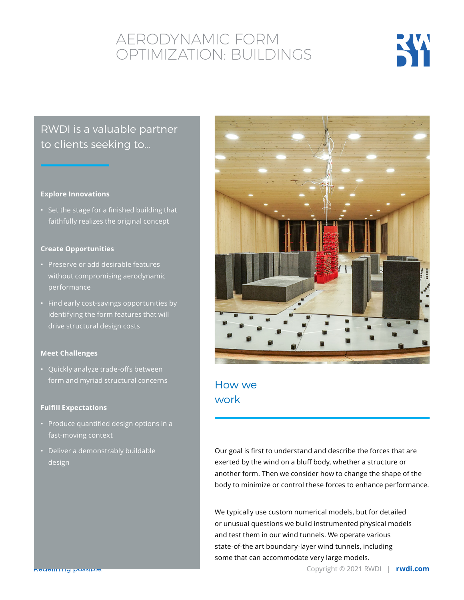# AERODYNAMIC FORM OPTIMIZATION: BUILDINGS



## RWDI is a valuable partner to clients seeking to…

#### **Explore Innovations**

• Set the stage for a finished building that faithfully realizes the original concept

#### **Create Opportunities**

- Preserve or add desirable features without compromising aerodynamic performance
- Find early cost-savings opportunities by identifying the form features that will drive structural design costs

#### **Meet Challenges**

• Quickly analyze trade-offs between form and myriad structural concerns

#### **Fulfill Expectations**

- Produce quantified design options in a fast-moving context
- Deliver a demonstrably buildable design



### How we work

Our goal is first to understand and describe the forces that are exerted by the wind on a bluff body, whether a structure or another form. Then we consider how to change the shape of the body to minimize or control these forces to enhance performance.

We typically use custom numerical models, but for detailed or unusual questions we build instrumented physical models and test them in our wind tunnels. We operate various state-of-the art boundary-layer wind tunnels, including some that can accommodate very large models.